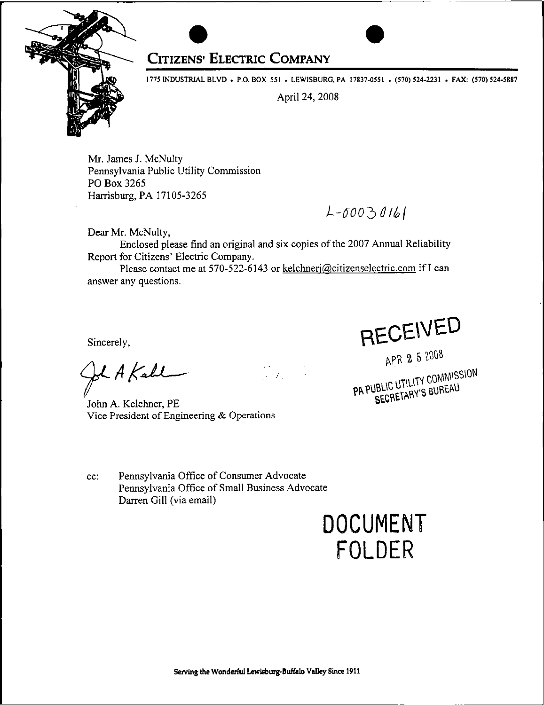

## **Citizens' Electric Company**

1775 INDUSTRIAL BLVD . P.O. BOX 551 . LEWISBURG, PA 17837-0551 . (570) 524-2231 . FAX: (570) 524-5887

April 24, 2008

Mr. James J. McNulty Pennsylvania Public Utility Commission PO Box 3265 Harrisburg, PA 17105-3265

*L-6002>Olbi*

Dear Mr. McNulty,

Enclosed please find an original and six copies of the 2007 Annual Reliability Report for Citizens' Electric Company.

Please contact me at 570-522-6143 or kelchneri@citizenselectric.com if I can answer any questions.

era<br>Geografia

Sincerely,

Il A Kall

John A. Kelchner, PE Vice President of Engineering  $&$  Operations

cc: Pennsylvania Office of Consumer Advocate Pennsylvania Office of Small Business Advocate Darren Gill (via email)

DOCUMENT FOLDER

**HECEIVED**<br>APR 2 5 2008<br>PA PUBLIC UTILITY COMMISSION JBLIC UTILITY COMMIS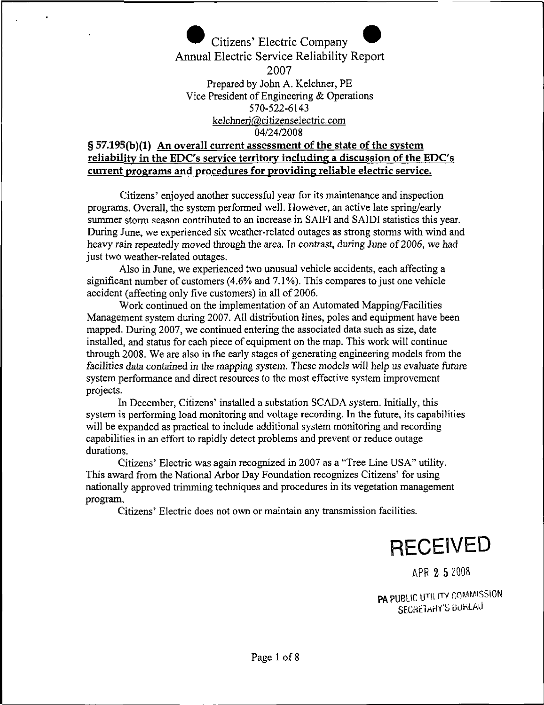

#### **§ 57.195(b)(1) An overall current assessment of the state of the system reliability in the EDC's service territory including a discussion of the EDC's current programs and procedures for providing reliable electric service.**

Citizens' enjoyed another successful year for its maintenance and inspection programs. Overall, the system performed well. However, an active late spring/early summer storm season contributed to an increase in SAIFI and SAIDI statistics this year. During June, we experienced six weather-related outages as strong storms with wind and heavy rain repeatedly moved through the area. In contrast, during June of 2006, we had just two weather-related outages.

Also in June, we experienced two unusual vehicle accidents, each affecting a significant number of customers (4.6% and 7.1%). This compares to just one vehicle accident (affecting only five customers) in all of 2006.

Work continued on the implementation of an Automated Mapping/Facilities Management system during 2007. All distribution lines, poles and equipment have been mapped. During 2007, we continued entering the associated data such as size, date installed, and status for each piece of equipment on the map. This work will continue through 2008. We are also in the early stages of generating engineering models from the facilities data contained in the mapping system. These models will help us evaluate future system performance and direct resources to the most effective system improvement projects.

In December, Citizens' installed a substation SCADA system. Initially, this system is performing load monitoring and voltage recording. In the future, its capabilities will be expanded as practical to include additional system monitoring and recording capabilities in an effort to rapidly detect problems and prevent or reduce outage durations.

Citizens' Electric was again recognized in 2007 as a "Tree Line USA" utility. This award from the National Arbor Day Foundation recognizes Citizens' for using nationally approved trimming techniques and procedures in its vegetation management program.

Citizens' Electric does not own or maintain any transmission facilities.



**APR 2 5** 2008

PA PUBLIC UTILITY COMMISSION SECRETARY'S BUREAU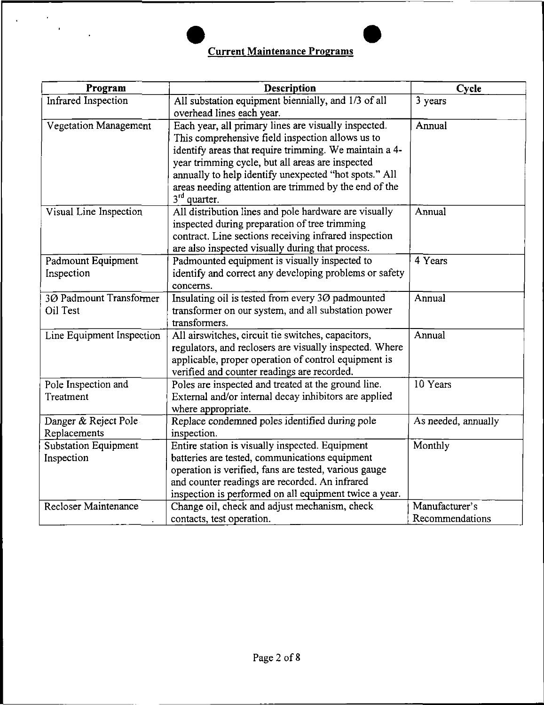# **Current Maintenance Programs**

 $\ddot{\phantom{a}}$ 

| Program                      | <b>Description</b>                                      | Cycle               |
|------------------------------|---------------------------------------------------------|---------------------|
| <b>Infrared Inspection</b>   | All substation equipment biennially, and 1/3 of all     | 3 years             |
|                              | overhead lines each year.                               |                     |
| <b>Vegetation Management</b> | Each year, all primary lines are visually inspected.    | Annual              |
|                              | This comprehensive field inspection allows us to        |                     |
|                              | identify areas that require trimming. We maintain a 4-  |                     |
|                              | year trimming cycle, but all areas are inspected        |                     |
|                              | annually to help identify unexpected "hot spots." All   |                     |
|                              | areas needing attention are trimmed by the end of the   |                     |
|                              | 3 <sup>rd</sup> quarter.                                |                     |
| Visual Line Inspection       | All distribution lines and pole hardware are visually   | Annual              |
|                              | inspected during preparation of tree trimming           |                     |
|                              | contract. Line sections receiving infrared inspection   |                     |
|                              | are also inspected visually during that process.        |                     |
| Padmount Equipment           | Padmounted equipment is visually inspected to           | 4 Years             |
| Inspection                   | identify and correct any developing problems or safety  |                     |
|                              | concerns.                                               |                     |
| 30 Padmount Transformer      | Insulating oil is tested from every 30 padmounted       | Annual              |
| Oil Test                     | transformer on our system, and all substation power     |                     |
|                              | transformers.                                           |                     |
| Line Equipment Inspection    | All airswitches, circuit tie switches, capacitors,      | Annual              |
|                              | regulators, and reclosers are visually inspected. Where |                     |
|                              | applicable, proper operation of control equipment is    |                     |
|                              | verified and counter readings are recorded.             |                     |
| Pole Inspection and          | Poles are inspected and treated at the ground line.     | 10 Years            |
| Treatment                    | External and/or internal decay inhibitors are applied   |                     |
|                              | where appropriate.                                      |                     |
| Danger & Reject Pole         | Replace condemned poles identified during pole          | As needed, annually |
| Replacements                 | inspection.                                             |                     |
| <b>Substation Equipment</b>  | Entire station is visually inspected. Equipment         | Monthly             |
| Inspection                   | batteries are tested, communications equipment          |                     |
|                              | operation is verified, fans are tested, various gauge   |                     |
|                              | and counter readings are recorded. An infrared          |                     |
|                              | inspection is performed on all equipment twice a year.  |                     |
| <b>Recloser Maintenance</b>  | Change oil, check and adjust mechanism, check           | Manufacturer's      |
|                              | contacts, test operation.                               | Recommendations     |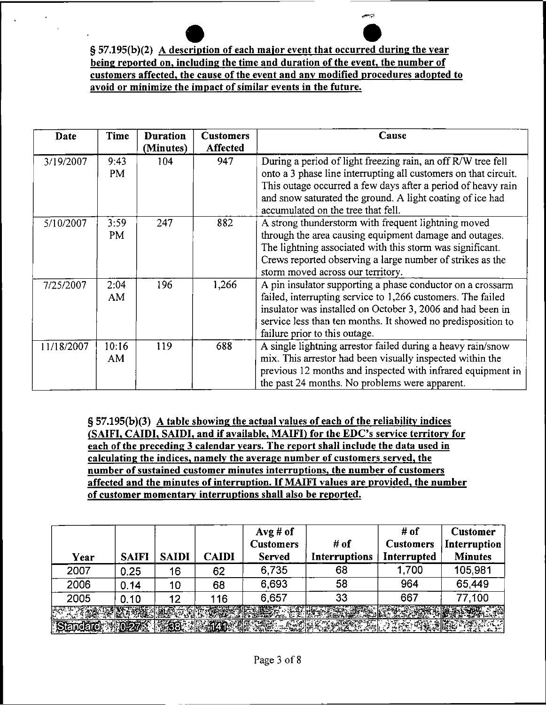يتزحو

| Date       | Time        | <b>Duration</b><br>(Minutes) | <b>Customers</b><br><b>Affected</b> | Cause                                                                                                                                                                                                                                                                                              |
|------------|-------------|------------------------------|-------------------------------------|----------------------------------------------------------------------------------------------------------------------------------------------------------------------------------------------------------------------------------------------------------------------------------------------------|
| 3/19/2007  | 9:43<br>PM  | 104                          | 947                                 | During a period of light freezing rain, an off R/W tree fell<br>onto a 3 phase line interrupting all customers on that circuit.<br>This outage occurred a few days after a period of heavy rain<br>and snow saturated the ground. A light coating of ice had<br>accumulated on the tree that fell. |
| 5/10/2007  | 3:59<br>PM  | 247                          | 882                                 | A strong thunderstorm with frequent lightning moved<br>through the area causing equipment damage and outages.<br>The lightning associated with this storm was significant.<br>Crews reported observing a large number of strikes as the<br>storm moved across our territory.                       |
| 7/25/2007  | 2:04<br>AM. | 196                          | 1,266                               | A pin insulator supporting a phase conductor on a crossarm<br>failed, interrupting service to 1,266 customers. The failed<br>insulator was installed on October 3, 2006 and had been in<br>service less than ten months. It showed no predisposition to<br>failure prior to this outage.           |
| 11/18/2007 | 10:16<br>AM | 119                          | 688                                 | A single lightning arrestor failed during a heavy rain/snow<br>mix. This arrestor had been visually inspected within the<br>previous 12 months and inspected with infrared equipment in<br>the past 24 months. No problems were apparent.                                                          |

**§ 57.195(b)(3) A table showing the actual values of each ofthe reliability indices (SA1FI, CAIDI, SAIDI, and if available, MAIFI) for the EDC's service territory for each of the preceding 3 calendar years. The report shall include the data used in calculating the indices, namely the average number of customers served, the number ofsustained customer minutes interruptions, the number of customers affected and the minutes of interruption. IfMAIFI values are provided, the number of customer momentary interruptions shall also be reported.**

| Year | <b>SAIFI</b> | <b>SAIDI</b> | <b>CAIDI</b> | $Avg#$ of<br><b>Customers</b><br><b>Served</b> | # of<br><b>Interruptions</b> | # of<br><b>Customers</b><br>Interrupted | <b>Customer</b><br>Interruption<br><b>Minutes</b> |
|------|--------------|--------------|--------------|------------------------------------------------|------------------------------|-----------------------------------------|---------------------------------------------------|
| 2007 | 0.25         | 16           | 62           | 6,735                                          | 68                           | 1,700                                   | 105,981                                           |
| 2006 | 0.14         | 10           | 68           | 6,693                                          | 58                           | 964                                     | 65,449                                            |
| 2005 | 0.10         | 12           | 116          | 6,657                                          | 33                           | 667                                     | 77,100                                            |
|      |              |              |              |                                                |                              |                                         |                                                   |
|      |              |              |              |                                                |                              |                                         |                                                   |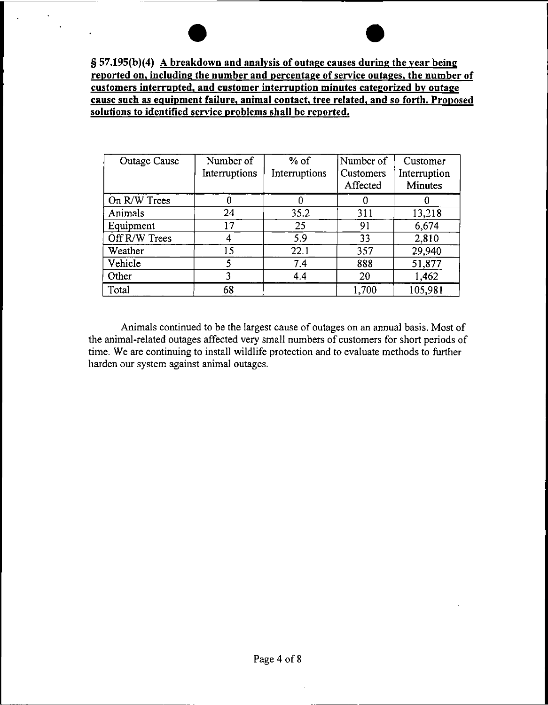**§ 57.195(b)(4) A breakdown and analysis of outage causes during the year being reported** on, including the number and percentage of service outages, the number of **customers interrupted, and customer interruption minutes categorized bv outage cause such as equipment failure, animal contact, tree related, and so forth. Proposed solutions to identified service problems shall be reported.**

 $\ddot{\phantom{1}}$ 

| <b>Outage Cause</b> | Number of<br>Interruptions | $%$ of<br>Interruptions | Number of<br>Customers<br>Affected | Customer<br>Interruption<br><b>Minutes</b> |
|---------------------|----------------------------|-------------------------|------------------------------------|--------------------------------------------|
| On R/W Trees        | 0                          |                         |                                    |                                            |
| Animals             | 24                         | 35.2                    | 311                                | 13,218                                     |
| Equipment           | 17                         | 25                      | 91                                 | 6,674                                      |
| Off R/W Trees       |                            | 5.9                     | 33                                 | 2,810                                      |
| Weather             | 15                         | 22.1                    | 357                                | 29,940                                     |
| Vehicle             | 5                          | 7.4                     | 888                                | 51,877                                     |
| Other               |                            | 4.4                     | 20                                 | 1,462                                      |
| Total               | 68                         |                         | 1,700                              | 105,981                                    |

Animals continued to be the largest cause of outages on an annual basis. Most of the animal-related outages affected very small numbers of customers for short periods of time. We are continuing to install wildlife protection and to evaluate methods to further harden our system against animal outages.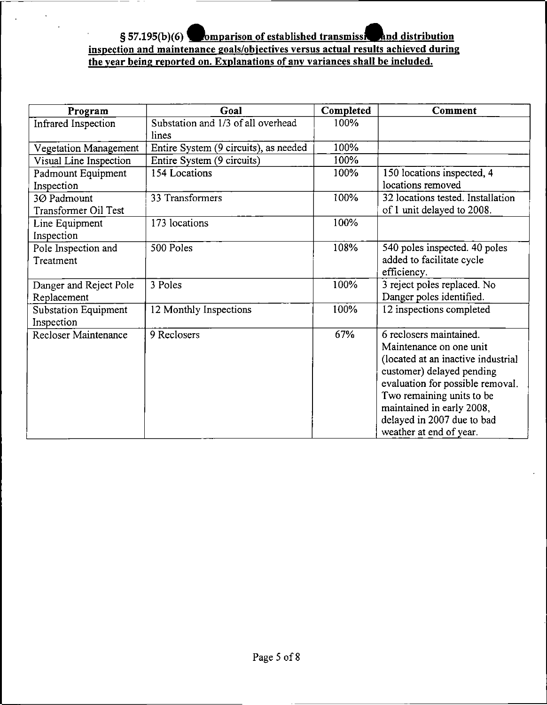#### **a**<br><u>enanc</u><br>ad on **§ 57.195(b)(6) ^^omparison of established transmissi^Bbnd distribution inspection and maintenance goals/obiectives versus actual results achieved during the year being reported on. Explanations of any variances shall be included.**

 $\overline{a}$ 

| Program                                   | Goal                                        | Completed | Comment                                                                                                                                                                                                                                                                      |
|-------------------------------------------|---------------------------------------------|-----------|------------------------------------------------------------------------------------------------------------------------------------------------------------------------------------------------------------------------------------------------------------------------------|
| Infrared Inspection                       | Substation and 1/3 of all overhead<br>lines | 100%      |                                                                                                                                                                                                                                                                              |
| Vegetation Management                     | Entire System (9 circuits), as needed       | 100%      |                                                                                                                                                                                                                                                                              |
| Visual Line Inspection                    | Entire System (9 circuits)                  | 100%      |                                                                                                                                                                                                                                                                              |
| Padmount Equipment<br>Inspection          | 154 Locations                               | 100%      | 150 locations inspected, 4<br>locations removed                                                                                                                                                                                                                              |
| 3Ø Padmount                               | 33 Transformers                             | 100%      | 32 locations tested. Installation                                                                                                                                                                                                                                            |
| Transformer Oil Test                      |                                             |           | of 1 unit delayed to 2008.                                                                                                                                                                                                                                                   |
| Line Equipment<br>Inspection              | 173 locations                               | 100%      |                                                                                                                                                                                                                                                                              |
| Pole Inspection and<br>Treatment          | 500 Poles                                   | 108%      | 540 poles inspected. 40 poles<br>added to facilitate cycle<br>efficiency.                                                                                                                                                                                                    |
| Danger and Reject Pole<br>Replacement     | 3 Poles                                     | 100%      | 3 reject poles replaced. No<br>Danger poles identified.                                                                                                                                                                                                                      |
| <b>Substation Equipment</b><br>Inspection | 12 Monthly Inspections                      | 100%      | 12 inspections completed                                                                                                                                                                                                                                                     |
| Recloser Maintenance                      | 9 Reclosers                                 | 67%       | 6 reclosers maintained.<br>Maintenance on one unit<br>(located at an inactive industrial<br>customer) delayed pending<br>evaluation for possible removal.<br>Two remaining units to be<br>maintained in early 2008,<br>delayed in 2007 due to bad<br>weather at end of year. |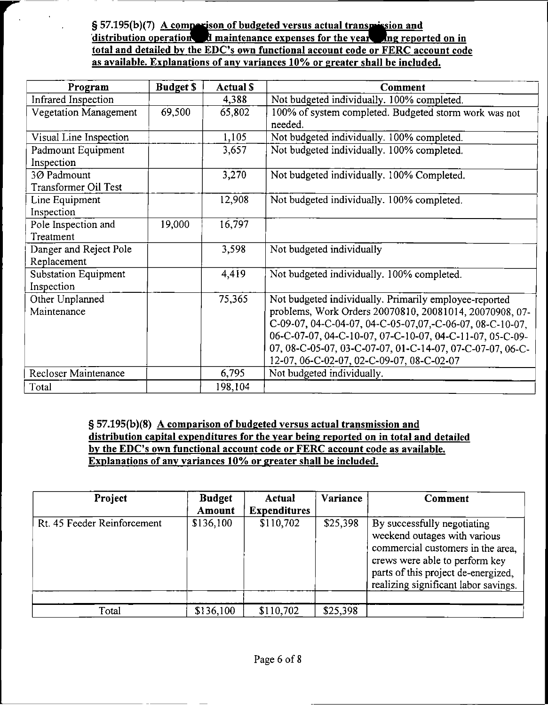**§ 57.195(b)(7) <sup>a</sup> budgeted versus actual translation and distribution** operation **d** maintenance expenses for the vear and **ne** reported on in **total and detailed bv the EDO's own functional account code or FERC account code as available. Explanations of any variances 10% or greater shall be included.**

| Program                      | <b>Budget \$</b> | <b>Actual S</b> | <b>Comment</b>                                            |
|------------------------------|------------------|-----------------|-----------------------------------------------------------|
| Infrared Inspection          |                  | 4,388           | Not budgeted individually. 100% completed.                |
| <b>Vegetation Management</b> | 69,500           | 65,802          | 100% of system completed. Budgeted storm work was not     |
|                              |                  |                 | needed.                                                   |
| Visual Line Inspection       |                  | 1,105           | Not budgeted individually. 100% completed.                |
| Padmount Equipment           |                  | 3,657           | Not budgeted individually. 100% completed.                |
| Inspection                   |                  |                 |                                                           |
| 3Ø Padmount                  |                  | 3,270           | Not budgeted individually. 100% Completed.                |
| <b>Transformer Oil Test</b>  |                  |                 |                                                           |
| Line Equipment               |                  | 12,908          | Not budgeted individually. 100% completed.                |
| Inspection                   |                  |                 |                                                           |
| Pole Inspection and          | 19,000           | 16,797          |                                                           |
| Treatment                    |                  |                 |                                                           |
| Danger and Reject Pole       |                  | 3,598           | Not budgeted individually                                 |
| Replacement                  |                  |                 |                                                           |
| <b>Substation Equipment</b>  |                  | 4,419           | Not budgeted individually. 100% completed.                |
| Inspection                   |                  |                 |                                                           |
| Other Unplanned              |                  | 75,365          | Not budgeted individually. Primarily employee-reported    |
| Maintenance                  |                  |                 | problems, Work Orders 20070810, 20081014, 20070908, 07-   |
|                              |                  |                 | C-09-07, 04-C-04-07, 04-C-05-07,07,-C-06-07, 08-C-10-07,  |
|                              |                  |                 | 06-C-07-07, 04-C-10-07, 07-C-10-07, 04-C-11-07, 05-C-09-  |
|                              |                  |                 | 07, 08-C-05-07, 03-C-07-07, 01-C-14-07, 07-C-07-07, 06-C- |
|                              |                  |                 | 12-07, 06-C-02-07, 02-C-09-07, 08-C-02-07                 |
| Recloser Maintenance         |                  | 6,795           | Not budgeted individually.                                |
| Total                        |                  | 198,104         |                                                           |

**§ 57.195(b)(8) A comparison of budgeted versus actual transmission and distribution capital expenditures for the year being reported on in total and detailed bv the EDO's own functional account code or FERC account code as available. Explanations of any variances 10% or greater shall be included.**

| Project                     | <b>Budget</b><br>Amount | Actual<br><b>Expenditures</b> | Variance | Comment                                                                                                                                                                                                           |
|-----------------------------|-------------------------|-------------------------------|----------|-------------------------------------------------------------------------------------------------------------------------------------------------------------------------------------------------------------------|
| Rt. 45 Feeder Reinforcement | \$136,100               | \$110,702                     | \$25,398 | By successfully negotiating<br>weekend outages with various<br>commercial customers in the area,<br>crews were able to perform key<br>parts of this project de-energized,<br>realizing significant labor savings. |
|                             |                         |                               |          |                                                                                                                                                                                                                   |
| Total                       | \$136,100               | \$110,702                     | \$25,398 |                                                                                                                                                                                                                   |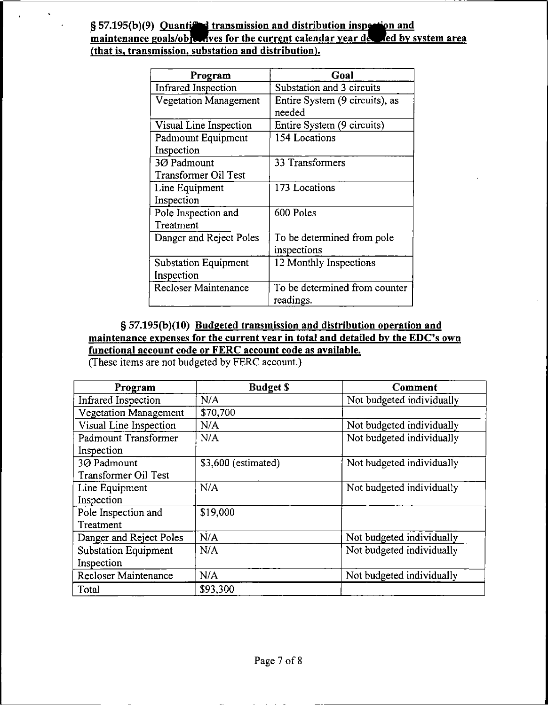| Program                     | Goal                                       |
|-----------------------------|--------------------------------------------|
| <b>Infrared Inspection</b>  | Substation and 3 circuits                  |
| Vegetation Management       | Entire System (9 circuits), as<br>needed   |
| Visual Line Inspection      | Entire System (9 circuits)                 |
| Padmount Equipment          | 154 Locations                              |
| Inspection                  |                                            |
| 3Ø Padmount                 | 33 Transformers                            |
| Transformer Oil Test        |                                            |
| Line Equipment              | 173 Locations                              |
| Inspection                  |                                            |
| Pole Inspection and         | 600 Poles                                  |
| Treatment                   |                                            |
| Danger and Reject Poles     | To be determined from pole                 |
|                             | inspections                                |
| <b>Substation Equipment</b> | 12 Monthly Inspections                     |
| Inspection                  |                                            |
| <b>Recloser Maintenance</b> | To be determined from counter<br>readings. |

### **§ 57.195(b)(10) Budgeted transmission and distribution operation and maintenance expenses for the current year in total and detailed by the EDC\*s own functional account code or FERC account code as available.**

(These items are not budgeted by FERC account.)

| Program                      | <b>Budget S</b>     | Comment                   |
|------------------------------|---------------------|---------------------------|
| Infrared Inspection          | N/A                 | Not budgeted individually |
| <b>Vegetation Management</b> | \$70,700            |                           |
| Visual Line Inspection       | N/A                 | Not budgeted individually |
| Padmount Transformer         | N/A                 | Not budgeted individually |
| Inspection                   |                     |                           |
| 3Ø Padmount                  | \$3,600 (estimated) | Not budgeted individually |
| Transformer Oil Test         |                     |                           |
| Line Equipment               | N/A                 | Not budgeted individually |
| Inspection                   |                     |                           |
| Pole Inspection and          | \$19,000            |                           |
| Treatment                    |                     |                           |
| Danger and Reject Poles      | N/A                 | Not budgeted individually |
| <b>Substation Equipment</b>  | N/A                 | Not budgeted individually |
| Inspection                   |                     |                           |
| Recloser Maintenance         | N/A                 | Not budgeted individually |
| Total                        | \$93,300            |                           |